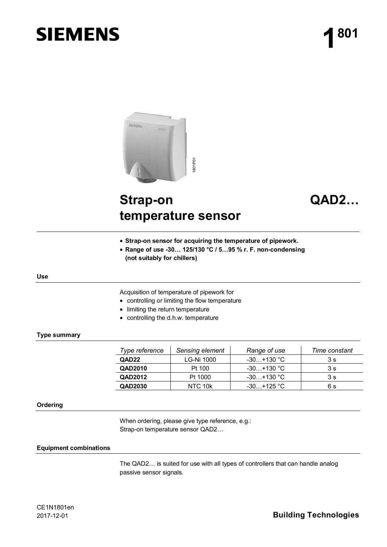# **SIEMENS**



# **Strap-on temperature sensor**

# **QAD2…**

- **Strap-on sensor for acquiring the temperature of pipework.**
- x **Range of use -30… 125/130 °C / 5…95 % r. F. non-condensing (not suitably for chillers)**

#### **Use**

Acquisition of temperature of pipework for

- controlling or limiting the flow temperature
- limiting the return temperature
- $\bullet$  controlling the d.h.w. temperature

#### **Type summary**

| Type reference    | Sensing element | Range of use | Time constant |
|-------------------|-----------------|--------------|---------------|
| QAD <sub>22</sub> | LG-Ni 1000      | $-30+130$ °C | 3 s           |
| QAD2010           | Pt 100          | $-30+130$ °C | 3 s           |
| QAD2012           | Pt 1000         | $-30+130$ °C | 3 s           |
| QAD2030           | NTC 10k         | $-30+125$ °C | 6 s           |

#### **Ordering**

When ordering, please give type reference, e.g.: Strap-on temperature sensor QAD2…

#### **Equipment combinations**

The QAD2… is suited for use with all types of controllers that can handle analog passive sensor signals.

# 2017-12-01 **Building Technologies**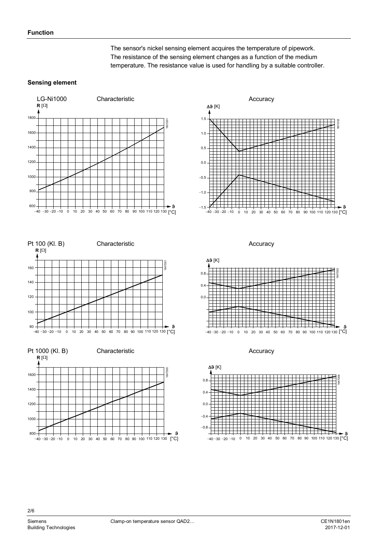The sensor's nickel sensing element acquires the temperature of pipework. The resistance of the sensing element changes as a function of the medium temperature. The resistance value is used for handling by a suitable controller.

### **Sensing element**













2/6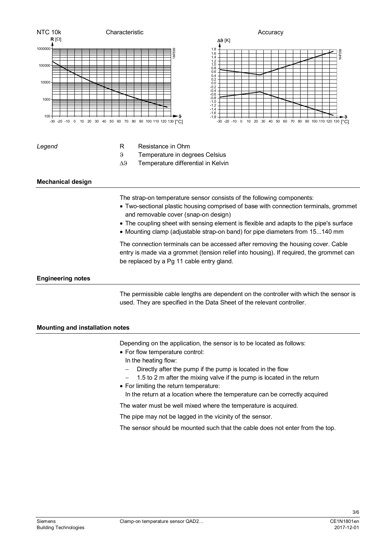

- In the heating flow:
- $-$  Directly after the pump if the pump is located in the flow
- 1.5 to 2 m after the mixing valve if the pump is located in the return
- For limiting the return temperature: In the return at a location where the temperature can be correctly acquired

The water must be well mixed where the temperature is acquired.

The pipe may not be lagged in the vicinity of the sensor.

The sensor should be mounted such that the cable does not enter from the top.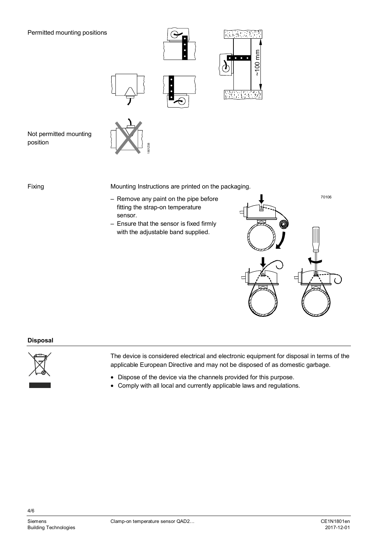### Permitted mounting positions



Not permitted mounting position

Fixing

Mounting Instructions are printed on the packaging.

– Remove any paint on the pipe before fitting the strap-on temperature sensor.

1801Z08

– Ensure that the sensor is fixed firmly with the adjustable band supplied.



 $~1001$ mm

#### **Disposal**



The device is considered electrical and electronic equipment for disposal in terms of the applicable European Directive and may not be disposed of as domestic garbage.

- Dispose of the device via the channels provided for this purpose.
- Comply with all local and currently applicable laws and regulations.

4/6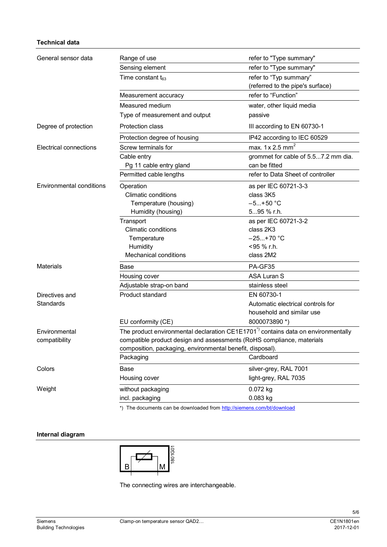## **Technical data**

| General sensor data           | Range of use                                                                                 | refer to "Type summary"             |  |
|-------------------------------|----------------------------------------------------------------------------------------------|-------------------------------------|--|
|                               | Sensing element                                                                              | refer to "Type summary"             |  |
|                               | Time constant $t_{63}$                                                                       | refer to "Typ summary"              |  |
|                               |                                                                                              | (referred to the pipe's surface)    |  |
|                               | Measurement accuracy                                                                         | refer to "Function"                 |  |
|                               | Measured medium                                                                              | water, other liquid media           |  |
|                               | Type of measurement and output                                                               | passive                             |  |
| Degree of protection          | Protection class                                                                             | III according to EN 60730-1         |  |
|                               | Protection degree of housing                                                                 | IP42 according to IEC 60529         |  |
| <b>Electrical connections</b> | Screw terminals for                                                                          | max. $1 \times 2.5$ mm <sup>2</sup> |  |
|                               | Cable entry                                                                                  | grommet for cable of 5.57.2 mm dia. |  |
|                               | Pg 11 cable entry gland                                                                      | can be fitted                       |  |
|                               | Permitted cable lengths                                                                      | refer to Data Sheet of controller   |  |
| Environmental conditions      | Operation                                                                                    | as per IEC 60721-3-3                |  |
|                               | <b>Climatic conditions</b>                                                                   | class 3K5                           |  |
|                               | Temperature (housing)                                                                        | $-5+50$ °C                          |  |
|                               | Humidity (housing)                                                                           | 595 % r.h.                          |  |
|                               | Transport                                                                                    | as per IEC 60721-3-2                |  |
|                               | <b>Climatic conditions</b>                                                                   | class 2K3                           |  |
|                               | Temperature                                                                                  | $-25+70$ °C                         |  |
|                               | Humidity                                                                                     | <95 % r.h.                          |  |
|                               | <b>Mechanical conditions</b>                                                                 | class 2M2                           |  |
| <b>Materials</b>              | Base                                                                                         | PA-GF35                             |  |
|                               | Housing cover                                                                                | <b>ASA Luran S</b>                  |  |
|                               | Adjustable strap-on band                                                                     | stainless steel                     |  |
| Directives and                | Product standard                                                                             | EN 60730-1                          |  |
| Standards                     |                                                                                              | Automatic electrical controls for   |  |
|                               |                                                                                              | household and similar use           |  |
|                               | EU conformity (CE)                                                                           | 8000073890 *)                       |  |
| Environmental                 | The product environmental declaration CE1E1701 <sup>*</sup> contains data on environmentally |                                     |  |
| compatibility                 | compatible product design and assessments (RoHS compliance, materials                        |                                     |  |
|                               | composition, packaging, environmental benefit, disposal).                                    |                                     |  |
|                               | Packaging                                                                                    | Cardboard                           |  |
| Colors                        | Base                                                                                         | silver-grey, RAL 7001               |  |
|                               | Housing cover                                                                                | light-grey, RAL 7035                |  |
| Weight                        | without packaging                                                                            | 0.072 kg                            |  |
|                               | incl. packaging                                                                              | 0.083 kg                            |  |
|                               | *) The documents can be downloaded from http://siemens.com/bt/download                       |                                     |  |

# **Internal diagram**



The connecting wires are interchangeable.

5/6